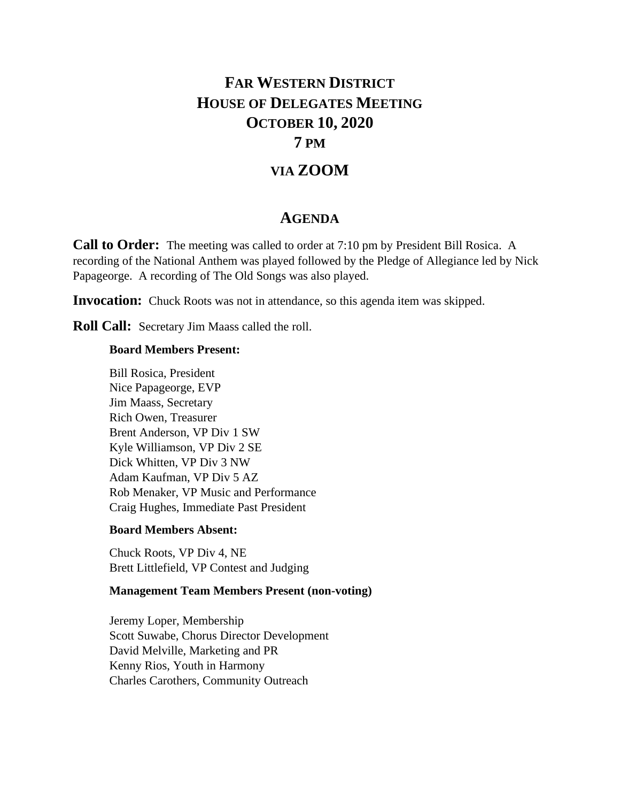## **FAR WESTERN DISTRICT HOUSE OF DELEGATES MEETING OCTOBER 10, 2020**

## **7 PM**

### **VIA ZOOM**

#### **AGENDA**

**Call to Order:** The meeting was called to order at 7:10 pm by President Bill Rosica. A recording of the National Anthem was played followed by the Pledge of Allegiance led by Nick Papageorge. A recording of The Old Songs was also played.

**Invocation:** Chuck Roots was not in attendance, so this agenda item was skipped.

**Roll Call:** Secretary Jim Maass called the roll.

#### **Board Members Present:**

Bill Rosica, President Nice Papageorge, EVP Jim Maass, Secretary Rich Owen, Treasurer Brent Anderson, VP Div 1 SW Kyle Williamson, VP Div 2 SE Dick Whitten, VP Div 3 NW Adam Kaufman, VP Div 5 AZ Rob Menaker, VP Music and Performance Craig Hughes, Immediate Past President

#### **Board Members Absent:**

Chuck Roots, VP Div 4, NE Brett Littlefield, VP Contest and Judging

#### **Management Team Members Present (non-voting)**

Jeremy Loper, Membership Scott Suwabe, Chorus Director Development David Melville, Marketing and PR Kenny Rios, Youth in Harmony Charles Carothers, Community Outreach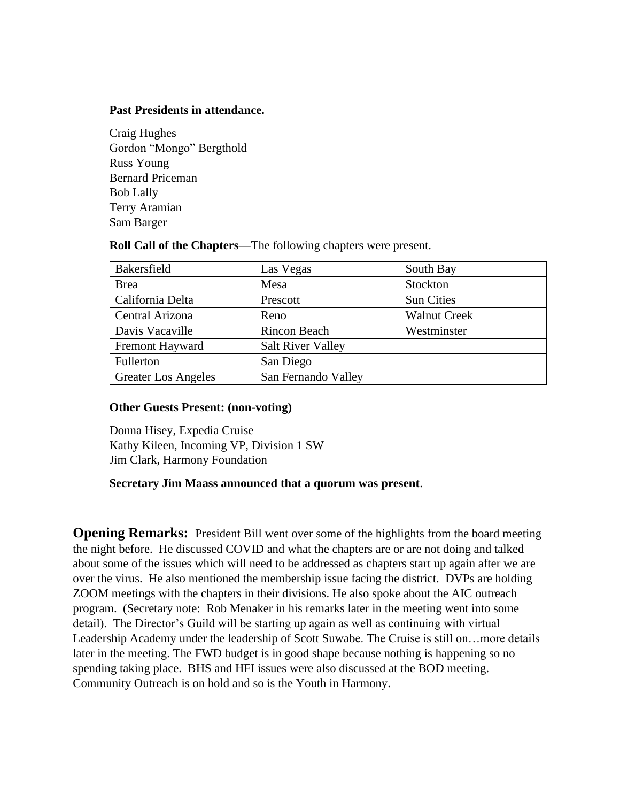#### **Past Presidents in attendance.**

Craig Hughes Gordon "Mongo" Bergthold Russ Young Bernard Priceman Bob Lally Terry Aramian Sam Barger

**Roll Call of the Chapters—**The following chapters were present.

| Bakersfield                | Las Vegas                | South Bay           |
|----------------------------|--------------------------|---------------------|
| <b>Brea</b>                | Mesa                     | Stockton            |
| California Delta           | Prescott                 | <b>Sun Cities</b>   |
| Central Arizona            | Reno                     | <b>Walnut Creek</b> |
| Davis Vacaville            | <b>Rincon Beach</b>      | Westminster         |
| Fremont Hayward            | <b>Salt River Valley</b> |                     |
| Fullerton                  | San Diego                |                     |
| <b>Greater Los Angeles</b> | San Fernando Valley      |                     |

#### **Other Guests Present: (non-voting)**

Donna Hisey, Expedia Cruise Kathy Kileen, Incoming VP, Division 1 SW Jim Clark, Harmony Foundation

#### **Secretary Jim Maass announced that a quorum was present**.

**Opening Remarks:** President Bill went over some of the highlights from the board meeting the night before. He discussed COVID and what the chapters are or are not doing and talked about some of the issues which will need to be addressed as chapters start up again after we are over the virus. He also mentioned the membership issue facing the district. DVPs are holding ZOOM meetings with the chapters in their divisions. He also spoke about the AIC outreach program. (Secretary note: Rob Menaker in his remarks later in the meeting went into some detail). The Director's Guild will be starting up again as well as continuing with virtual Leadership Academy under the leadership of Scott Suwabe. The Cruise is still on…more details later in the meeting. The FWD budget is in good shape because nothing is happening so no spending taking place. BHS and HFI issues were also discussed at the BOD meeting. Community Outreach is on hold and so is the Youth in Harmony.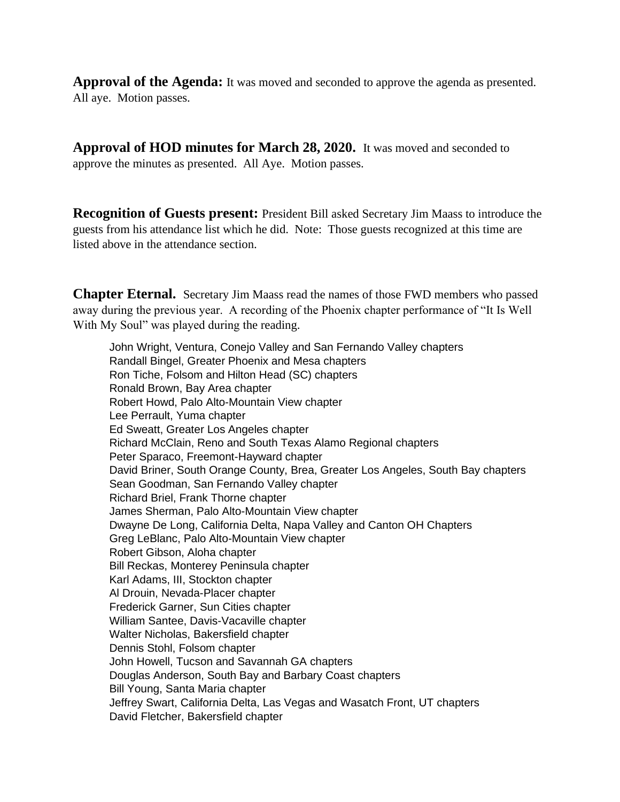**Approval of the Agenda:** It was moved and seconded to approve the agenda as presented. All aye. Motion passes.

**Approval of HOD minutes for March 28, 2020.** It was moved and seconded to approve the minutes as presented. All Aye. Motion passes.

**Recognition of Guests present:** President Bill asked Secretary Jim Maass to introduce the guests from his attendance list which he did. Note: Those guests recognized at this time are listed above in the attendance section.

**Chapter Eternal.** Secretary Jim Maass read the names of those FWD members who passed away during the previous year. A recording of the Phoenix chapter performance of "It Is Well With My Soul" was played during the reading.

John Wright, Ventura, Conejo Valley and San Fernando Valley chapters Randall Bingel, Greater Phoenix and Mesa chapters Ron Tiche, Folsom and Hilton Head (SC) chapters Ronald Brown, Bay Area chapter Robert Howd, Palo Alto-Mountain View chapter Lee Perrault, Yuma chapter Ed Sweatt, Greater Los Angeles chapter Richard McClain, Reno and South Texas Alamo Regional chapters Peter Sparaco, Freemont-Hayward chapter David Briner, South Orange County, Brea, Greater Los Angeles, South Bay chapters Sean Goodman, San Fernando Valley chapter Richard Briel, Frank Thorne chapter James Sherman, Palo Alto-Mountain View chapter Dwayne De Long, California Delta, Napa Valley and Canton OH Chapters Greg LeBlanc, Palo Alto-Mountain View chapter Robert Gibson, Aloha chapter Bill Reckas, Monterey Peninsula chapter Karl Adams, III, Stockton chapter Al Drouin, Nevada-Placer chapter Frederick Garner, Sun Cities chapter William Santee, Davis-Vacaville chapter Walter Nicholas, Bakersfield chapter Dennis Stohl, Folsom chapter John Howell, Tucson and Savannah GA chapters Douglas Anderson, South Bay and Barbary Coast chapters Bill Young, Santa Maria chapter Jeffrey Swart, California Delta, Las Vegas and Wasatch Front, UT chapters David Fletcher, Bakersfield chapter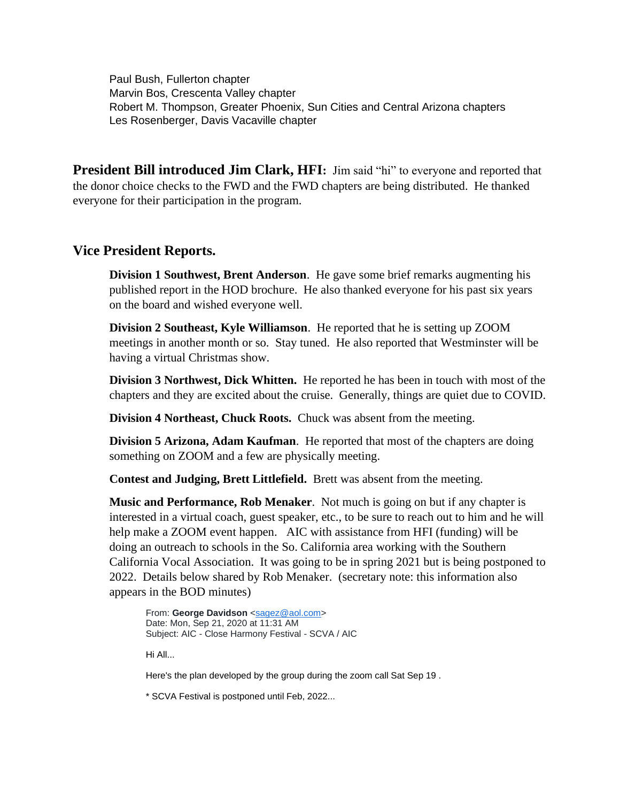Paul Bush, Fullerton chapter Marvin Bos, Crescenta Valley chapter Robert M. Thompson, Greater Phoenix, Sun Cities and Central Arizona chapters Les Rosenberger, Davis Vacaville chapter

**President Bill introduced Jim Clark, HFI:** Jim said "hi" to everyone and reported that the donor choice checks to the FWD and the FWD chapters are being distributed. He thanked everyone for their participation in the program.

#### **Vice President Reports.**

**Division 1 Southwest, Brent Anderson**. He gave some brief remarks augmenting his published report in the HOD brochure. He also thanked everyone for his past six years on the board and wished everyone well.

**Division 2 Southeast, Kyle Williamson**. He reported that he is setting up ZOOM meetings in another month or so. Stay tuned. He also reported that Westminster will be having a virtual Christmas show.

**Division 3 Northwest, Dick Whitten.** He reported he has been in touch with most of the chapters and they are excited about the cruise. Generally, things are quiet due to COVID.

**Division 4 Northeast, Chuck Roots.** Chuck was absent from the meeting.

**Division 5 Arizona, Adam Kaufman**. He reported that most of the chapters are doing something on ZOOM and a few are physically meeting.

**Contest and Judging, Brett Littlefield.** Brett was absent from the meeting.

**Music and Performance, Rob Menaker**. Not much is going on but if any chapter is interested in a virtual coach, guest speaker, etc., to be sure to reach out to him and he will help make a ZOOM event happen. AIC with assistance from HFI (funding) will be doing an outreach to schools in the So. California area working with the Southern California Vocal Association. It was going to be in spring 2021 but is being postponed to 2022. Details below shared by Rob Menaker. (secretary note: this information also appears in the BOD minutes)

From: **George Davidson** [<sagez@aol.com>](mailto:sagez@aol.com) Date: Mon, Sep 21, 2020 at 11:31 AM Subject: AIC - Close Harmony Festival - SCVA / AIC

Hi All...

Here's the plan developed by the group during the zoom call Sat Sep 19 .

\* SCVA Festival is postponed until Feb, 2022...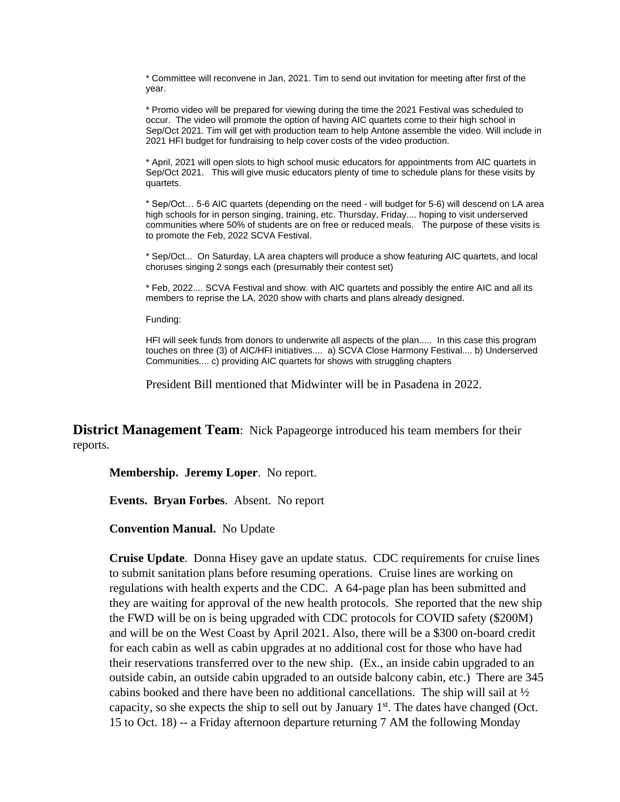\* Committee will reconvene in Jan, 2021. Tim to send out invitation for meeting after first of the year.

\* Promo video will be prepared for viewing during the time the 2021 Festival was scheduled to occur. The video will promote the option of having AIC quartets come to their high school in Sep/Oct 2021. Tim will get with production team to help Antone assemble the video. Will include in 2021 HFI budget for fundraising to help cover costs of the video production.

\* April, 2021 will open slots to high school music educators for appointments from AIC quartets in Sep/Oct 2021. This will give music educators plenty of time to schedule plans for these visits by quartets.

\* Sep/Oct… 5-6 AIC quartets (depending on the need - will budget for 5-6) will descend on LA area high schools for in person singing, training, etc. Thursday, Friday.... hoping to visit underserved communities where 50% of students are on free or reduced meals. The purpose of these visits is to promote the Feb, 2022 SCVA Festival.

\* Sep/Oct... On Saturday, LA area chapters will produce a show featuring AIC quartets, and local choruses singing 2 songs each (presumably their contest set)

\* Feb, 2022.... SCVA Festival and show. with AIC quartets and possibly the entire AIC and all its members to reprise the LA, 2020 show with charts and plans already designed.

Funding:

HFI will seek funds from donors to underwrite all aspects of the plan..... In this case this program touches on three (3) of AIC/HFI initiatives.... a) SCVA Close Harmony Festival.... b) Underserved Communities.... c) providing AIC quartets for shows with struggling chapters

President Bill mentioned that Midwinter will be in Pasadena in 2022.

**District Management Team**: Nick Papageorge introduced his team members for their reports.

**Membership. Jeremy Loper**. No report.

**Events. Bryan Forbes**. Absent. No report

**Convention Manual.** No Update

**Cruise Update**. Donna Hisey gave an update status. CDC requirements for cruise lines to submit sanitation plans before resuming operations. Cruise lines are working on regulations with health experts and the CDC. A 64-page plan has been submitted and they are waiting for approval of the new health protocols. She reported that the new ship the FWD will be on is being upgraded with CDC protocols for COVID safety (\$200M) and will be on the West Coast by April 2021. Also, there will be a \$300 on-board credit for each cabin as well as cabin upgrades at no additional cost for those who have had their reservations transferred over to the new ship. (Ex., an inside cabin upgraded to an outside cabin, an outside cabin upgraded to an outside balcony cabin, etc.) There are 345 cabins booked and there have been no additional cancellations. The ship will sail at  $\frac{1}{2}$ capacity, so she expects the ship to sell out by January  $1<sup>st</sup>$ . The dates have changed (Oct. 15 to Oct. 18) -- a Friday afternoon departure returning 7 AM the following Monday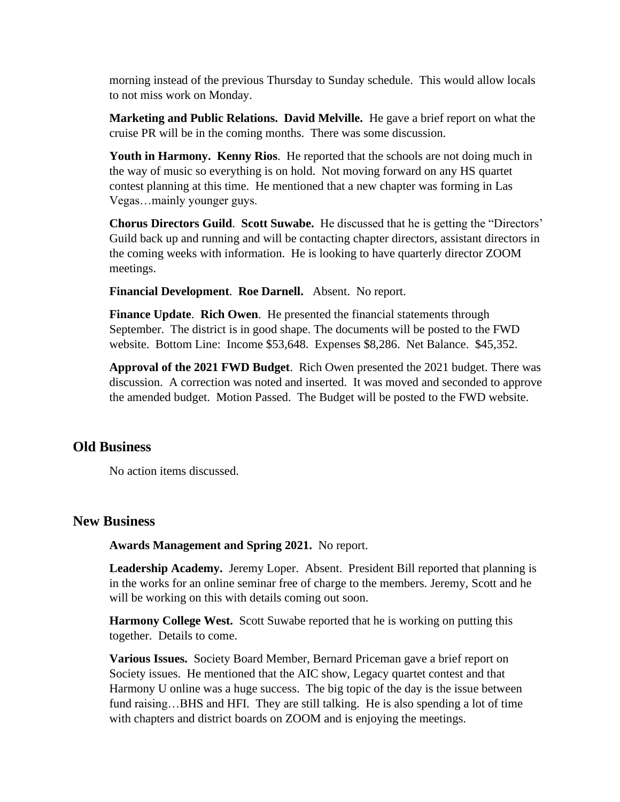morning instead of the previous Thursday to Sunday schedule. This would allow locals to not miss work on Monday.

**Marketing and Public Relations. David Melville.** He gave a brief report on what the cruise PR will be in the coming months. There was some discussion.

**Youth in Harmony. Kenny Rios**. He reported that the schools are not doing much in the way of music so everything is on hold. Not moving forward on any HS quartet contest planning at this time. He mentioned that a new chapter was forming in Las Vegas…mainly younger guys.

**Chorus Directors Guild**. **Scott Suwabe.** He discussed that he is getting the "Directors' Guild back up and running and will be contacting chapter directors, assistant directors in the coming weeks with information. He is looking to have quarterly director ZOOM meetings.

**Financial Development**. **Roe Darnell.** Absent. No report.

**Finance Update**. **Rich Owen**. He presented the financial statements through September. The district is in good shape. The documents will be posted to the FWD website. Bottom Line: Income \$53,648. Expenses \$8,286. Net Balance. \$45,352.

**Approval of the 2021 FWD Budget**. Rich Owen presented the 2021 budget. There was discussion. A correction was noted and inserted. It was moved and seconded to approve the amended budget. Motion Passed. The Budget will be posted to the FWD website.

#### **Old Business**

No action items discussed.

#### **New Business**

**Awards Management and Spring 2021.** No report.

Leadership Academy. Jeremy Loper. Absent. President Bill reported that planning is in the works for an online seminar free of charge to the members. Jeremy, Scott and he will be working on this with details coming out soon.

**Harmony College West.** Scott Suwabe reported that he is working on putting this together. Details to come.

**Various Issues.** Society Board Member, Bernard Priceman gave a brief report on Society issues. He mentioned that the AIC show, Legacy quartet contest and that Harmony U online was a huge success. The big topic of the day is the issue between fund raising…BHS and HFI. They are still talking. He is also spending a lot of time with chapters and district boards on ZOOM and is enjoying the meetings.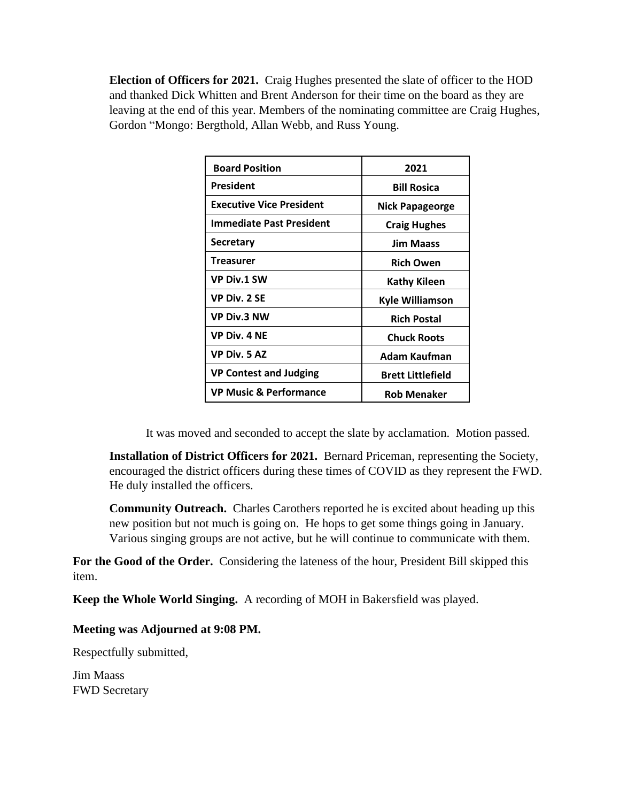**Election of Officers for 2021.** Craig Hughes presented the slate of officer to the HOD and thanked Dick Whitten and Brent Anderson for their time on the board as they are leaving at the end of this year. Members of the nominating committee are Craig Hughes, Gordon "Mongo: Bergthold, Allan Webb, and Russ Young.

| <b>Board Position</b>             | 2021                     |
|-----------------------------------|--------------------------|
| President                         | <b>Bill Rosica</b>       |
| <b>Executive Vice President</b>   | Nick Papageorge          |
| Immediate Past President          | <b>Craig Hughes</b>      |
| <b>Secretary</b>                  | <b>Jim Maass</b>         |
| Treasurer                         | <b>Rich Owen</b>         |
| <b>VP Div.1 SW</b>                | Kathy Kileen             |
| <b>VP Div. 2 SE</b>               | <b>Kyle Williamson</b>   |
| <b>VP Div.3 NW</b>                | <b>Rich Postal</b>       |
| <b>VP Div. 4 NE</b>               | <b>Chuck Roots</b>       |
| VP Div. 5 AZ                      | Adam Kaufman             |
| <b>VP Contest and Judging</b>     | <b>Brett Littlefield</b> |
| <b>VP Music &amp; Performance</b> | <b>Rob Menaker</b>       |
|                                   |                          |

It was moved and seconded to accept the slate by acclamation. Motion passed.

**Installation of District Officers for 2021.** Bernard Priceman, representing the Society, encouraged the district officers during these times of COVID as they represent the FWD. He duly installed the officers.

**Community Outreach.** Charles Carothers reported he is excited about heading up this new position but not much is going on. He hops to get some things going in January. Various singing groups are not active, but he will continue to communicate with them.

**For the Good of the Order.** Considering the lateness of the hour, President Bill skipped this item.

**Keep the Whole World Singing.** A recording of MOH in Bakersfield was played.

#### **Meeting was Adjourned at 9:08 PM.**

Respectfully submitted,

Jim Maass FWD Secretary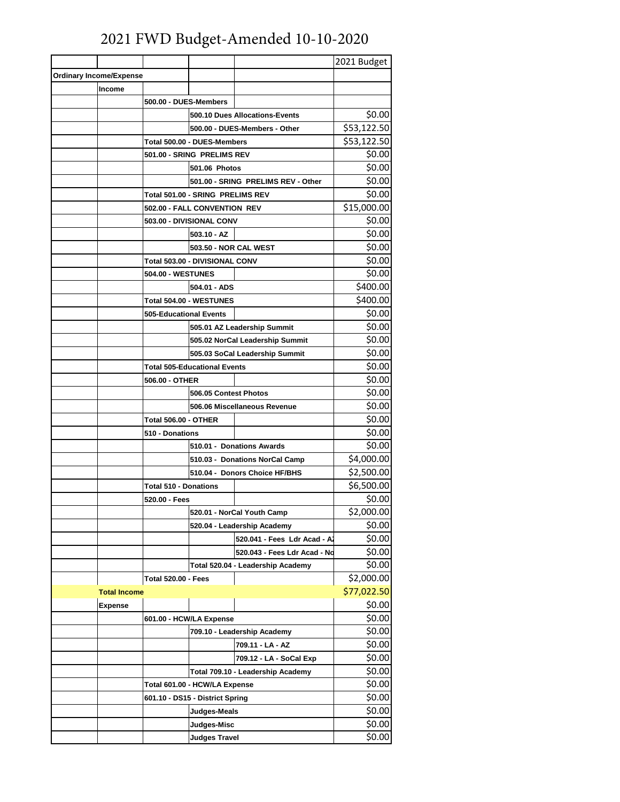# 2021 FWD Budget-Amended 10-10-2020

|                                |                                    |                                     |                                   | 2021 Budget |
|--------------------------------|------------------------------------|-------------------------------------|-----------------------------------|-------------|
| <b>Ordinary Income/Expense</b> |                                    |                                     |                                   |             |
| Income                         |                                    |                                     |                                   |             |
|                                | 500.00 - DUES-Members              |                                     |                                   |             |
|                                | 500.10 Dues Allocations-Events     |                                     | \$0.00                            |             |
|                                |                                    |                                     | 500.00 - DUES-Members - Other     | \$53,122.50 |
|                                |                                    | Total 500.00 - DUES-Members         |                                   | \$53,122.50 |
|                                |                                    | 501.00 - SRING PRELIMS REV          |                                   | \$0.00      |
|                                |                                    | 501.06 Photos                       |                                   | \$0.00      |
|                                | 501.00 - SRING PRELIMS REV - Other |                                     | \$0.00                            |             |
|                                |                                    | Total 501.00 - SRING PRELIMS REV    |                                   | \$0.00      |
|                                | 502.00 - FALL CONVENTION REV       |                                     | \$15,000.00                       |             |
|                                |                                    | 503.00 - DIVISIONAL CONV            |                                   | \$0.00      |
|                                |                                    | $503.10 - AZ$                       |                                   | \$0.00      |
|                                |                                    | 503.50 - NOR CAL WEST               |                                   | \$0.00      |
|                                |                                    | Total 503.00 - DIVISIONAL CONV      |                                   | \$0.00      |
|                                | <b>504.00 - WESTUNES</b>           |                                     |                                   | \$0.00      |
|                                |                                    | 504.01 - ADS                        |                                   | \$400.00    |
|                                |                                    | Total 504.00 - WESTUNES             |                                   | \$400.00    |
|                                | <b>505-Educational Events</b>      |                                     |                                   | \$0.00      |
|                                |                                    |                                     | 505.01 AZ Leadership Summit       | \$0.00      |
|                                |                                    |                                     | 505.02 NorCal Leadership Summit   | \$0.00      |
|                                |                                    |                                     | 505.03 SoCal Leadership Summit    | \$0.00      |
|                                |                                    | <b>Total 505-Educational Events</b> |                                   | \$0.00      |
|                                | 506.00 - OTHER                     |                                     |                                   | \$0.00      |
|                                |                                    | 506.05 Contest Photos               |                                   | \$0.00      |
|                                | 506.06 Miscellaneous Revenue       |                                     | \$0.00                            |             |
|                                | <b>Total 506.00 - OTHER</b>        |                                     | \$0.00                            |             |
|                                | 510 - Donations                    |                                     | \$0.00                            |             |
|                                |                                    |                                     | 510.01 - Donations Awards         | \$0.00      |
|                                |                                    |                                     | 510.03 - Donations NorCal Camp    | \$4,000.00  |
|                                |                                    | 510.04 - Donors Choice HF/BHS       |                                   | \$2,500.00  |
|                                | <b>Total 510 - Donations</b>       |                                     | \$6,500.00                        |             |
|                                | 520.00 - Fees                      |                                     | \$0.00                            |             |
|                                |                                    |                                     | 520.01 - NorCal Youth Camp        | \$2,000.00  |
|                                |                                    | 520.04 - Leadership Academy         |                                   | \$0.00      |
|                                |                                    |                                     | 520.041 - Fees Ldr Acad - A       | \$0.00      |
|                                |                                    |                                     | 520.043 - Fees Ldr Acad - No      | \$0.00      |
|                                |                                    |                                     | Total 520.04 - Leadership Academy | \$0.00      |
|                                | <b>Total 520.00 - Fees</b>         |                                     | \$2,000.00                        |             |
| <b>Total Income</b>            |                                    |                                     |                                   | \$77,022.50 |
| <b>Expense</b>                 |                                    |                                     |                                   | \$0.00      |
|                                |                                    | 601.00 - HCW/LA Expense             |                                   | \$0.00      |
|                                | 709.10 - Leadership Academy        |                                     | \$0.00                            |             |
|                                |                                    |                                     | 709.11 - LA - AZ                  | \$0.00      |
|                                |                                    |                                     | 709.12 - LA - SoCal Exp           | \$0.00      |
|                                |                                    |                                     | Total 709.10 - Leadership Academy | \$0.00      |
|                                | Total 601.00 - HCW/LA Expense      |                                     | \$0.00                            |             |
|                                | 601.10 - DS15 - District Spring    |                                     | \$0.00                            |             |
|                                | Judges-Meals                       |                                     | \$0.00                            |             |
|                                | Judges-Misc                        |                                     | \$0.00                            |             |
|                                |                                    | <b>Judges Travel</b>                |                                   | \$0.00      |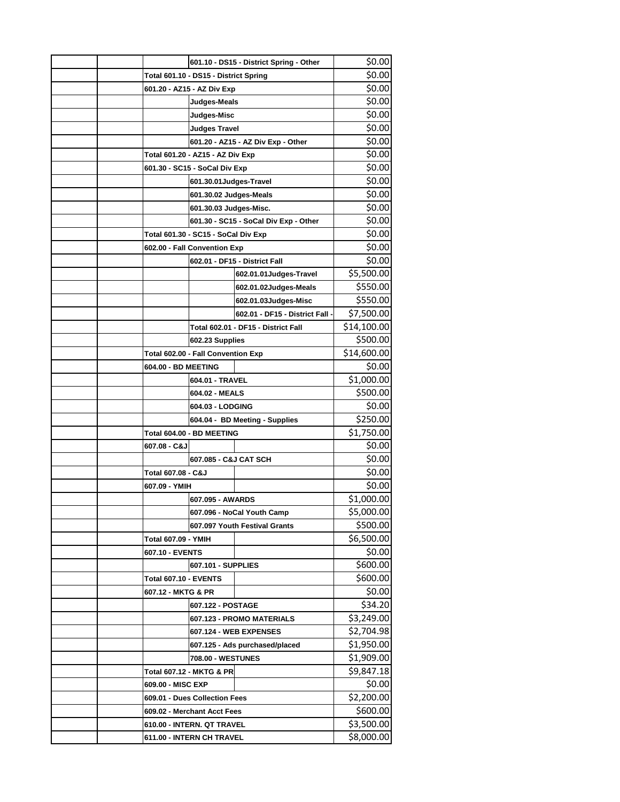|                               | 601.10 - DS15 - District Spring - Other | \$0.00      |
|-------------------------------|-----------------------------------------|-------------|
|                               | Total 601.10 - DS15 - District Spring   | \$0.00      |
| 601.20 - AZ15 - AZ Div Exp    |                                         | \$0.00      |
|                               | Judges-Meals                            | \$0.00      |
|                               | Judges-Misc                             | \$0.00      |
|                               | <b>Judges Travel</b>                    | \$0.00      |
|                               | 601.20 - AZ15 - AZ Div Exp - Other      | \$0.00      |
|                               | Total 601.20 - AZ15 - AZ Div Exp        | \$0.00      |
| 601.30 - SC15 - SoCal Div Exp |                                         | \$0.00      |
|                               | 601.30.01Judges-Travel                  | \$0.00      |
|                               | 601.30.02 Judges-Meals                  | \$0.00      |
|                               | 601.30.03 Judges-Misc.                  | \$0.00      |
|                               | 601.30 - SC15 - SoCal Div Exp - Other   | \$0.00      |
|                               | Total 601.30 - SC15 - SoCal Div Exp     | \$0.00      |
| 602.00 - Fall Convention Exp  |                                         | \$0.00      |
|                               | 602.01 - DF15 - District Fall           | \$0.00      |
|                               | 602.01.01Judges-Travel                  | \$5,500.00  |
|                               | 602.01.02Judges-Meals                   | \$550.00    |
|                               | 602.01.03Judges-Misc                    | \$550.00    |
|                               | 602.01 - DF15 - District Fall -         | \$7,500.00  |
|                               | Total 602.01 - DF15 - District Fall     | \$14,100.00 |
|                               | 602.23 Supplies                         | \$500.00    |
|                               | Total 602.00 - Fall Convention Exp      | \$14,600.00 |
| 604.00 - BD MEETING           |                                         | \$0.00      |
|                               | 604.01 - TRAVEL                         | \$1,000.00  |
|                               | 604.02 - MEALS                          | \$500.00    |
|                               | 604.03 - LODGING                        |             |
|                               | 604.04 - BD Meeting - Supplies          |             |
|                               | Total 604.00 - BD MEETING               |             |
| 607.08 - C&J                  |                                         | \$0.00      |
|                               | 607.085 - C&J CAT SCH                   | \$0.00      |
| Total 607.08 - C&J            |                                         | \$0.00      |
| 607.09 - YMIH                 |                                         | \$0.00      |
|                               | 607.095 - AWARDS                        | \$1,000.00  |
|                               | 607.096 - NoCal Youth Camp              |             |
|                               | 607.097 Youth Festival Grants           | \$500.00    |
| <b>Total 607.09 - YMIH</b>    |                                         | \$6,500.00  |
|                               | 607.10 - EVENTS                         |             |
|                               | 607.101 - SUPPLIES                      | \$600.00    |
| Total 607.10 - EVENTS         |                                         | \$600.00    |
| 607.12 - MKTG & PR            |                                         | \$0.00      |
|                               | 607.122 - POSTAGE                       | \$34.20     |
|                               | 607.123 - PROMO MATERIALS               | \$3,249.00  |
|                               | 607.124 - WEB EXPENSES                  | \$2,704.98  |
|                               | 607.125 - Ads purchased/placed          | \$1,950.00  |
|                               | 708.00 - WESTUNES                       | \$1,909.00  |
| Total 607.12 - MKTG & PR      |                                         | \$9,847.18  |
| 609.00 - MISC EXP             |                                         | \$0.00      |
|                               | 609.01 - Dues Collection Fees           |             |
|                               | 609.02 - Merchant Acct Fees             |             |
|                               | 610.00 - INTERN. QT TRAVEL              |             |
|                               | 611.00 - INTERN CH TRAVEL               |             |